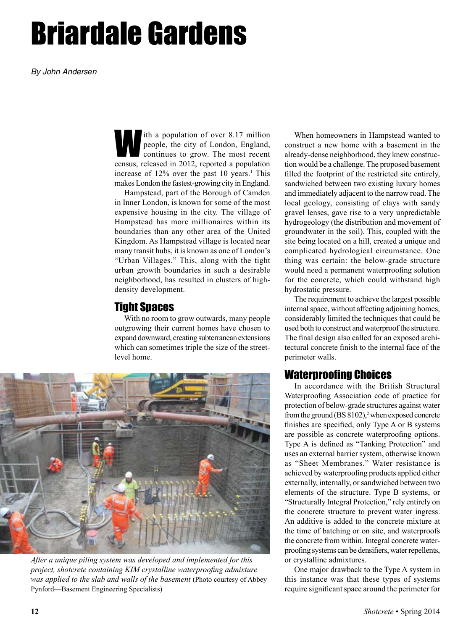# Briardale Gardens

*By John Andersen*

ith a population of over 8.17 million<br>people, the city of London, England,<br>continues to grow. The most recent<br>census released in 2012 reported a population people, the city of London, England, continues to grow. The most recent census, released in 2012, reported a population increase of  $12\%$  over the past 10 years.<sup>1</sup> This makes London the fastest-growing city in England.

Hampstead, part of the Borough of Camden in Inner London, is known for some of the most expensive housing in the city. The village of Hampstead has more millionaires within its boundaries than any other area of the United Kingdom. As Hampstead village is located near many transit hubs, it is known as one of London's "Urban Villages." This, along with the tight urban growth boundaries in such a desirable neighborhood, has resulted in clusters of highdensity development.

### Tight Spaces

With no room to grow outwards, many people outgrowing their current homes have chosen to expand downward, creating subterranean extensions which can sometimes triple the size of the streetlevel home.



*After a unique piling system was developed and implemented for this project, shotcrete containing KIM crystalline waterproofing admixture*  was applied to the slab and walls of the basement (Photo courtesy of Abbey Pynford—Basement Engineering Specialists)

When homeowners in Hampstead wanted to construct a new home with a basement in the already-dense neighborhood, they knew construction would be a challenge. The proposed basement filled the footprint of the restricted site entirely, sandwiched between two existing luxury homes and immediately adjacent to the narrow road. The local geology, consisting of clays with sandy gravel lenses, gave rise to a very unpredictable hydrogeology (the distribution and movement of groundwater in the soil). This, coupled with the site being located on a hill, created a unique and complicated hydrological circumstance. One thing was certain: the below-grade structure would need a permanent waterproofing solution for the concrete, which could withstand high hydrostatic pressure.

The requirement to achieve the largest possible internal space, without affecting adjoining homes, considerably limited the techniques that could be used both to construct and waterproof the structure. The final design also called for an exposed architectural concrete finish to the internal face of the perimeter walls.

### Waterproofing Choices

In accordance with the British Structural Waterproofing Association code of practice for protection of below-grade structures against water from the ground  $(BS 8102)$ ,<sup>2</sup> when exposed concrete finishes are specified, only Type A or B systems are possible as concrete waterproofing options. Type A is defined as "Tanking Protection" and uses an external barrier system, otherwise known as "Sheet Membranes." Water resistance is achieved by waterproofing products applied either externally, internally, or sandwiched between two elements of the structure. Type B systems, or "Structurally Integral Protection," rely entirely on the concrete structure to prevent water ingress. An additive is added to the concrete mixture at the time of batching or on site, and waterproofs the concrete from within. Integral concrete waterproofing systems can be densifiers, water repellents, or crystalline admixtures.

One major drawback to the Type A system in this instance was that these types of systems require significant space around the perimeter for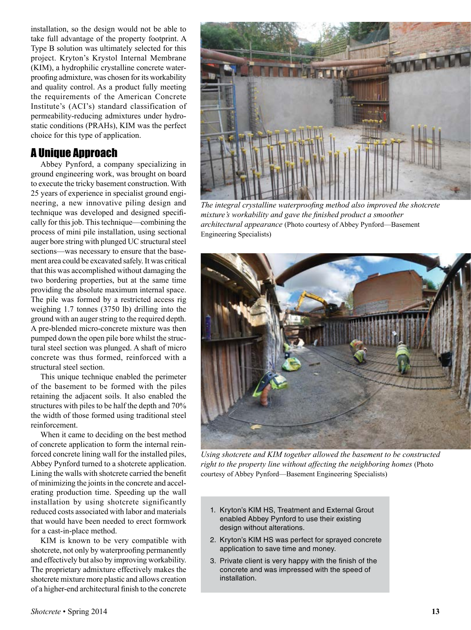installation, so the design would not be able to take full advantage of the property footprint. A Type B solution was ultimately selected for this project. Kryton's Krystol Internal Membrane (KIM), a hydrophilic crystalline concrete waterproofing admixture, was chosen for its workability and quality control. As a product fully meeting the requirements of the American Concrete Institute's (ACI's) standard classification of permeability-reducing admixtures under hydrostatic conditions (PRAHs), KIM was the perfect choice for this type of application.

## A Unique Approach

Abbey Pynford, a company specializing in ground engineering work, was brought on board to execute the tricky basement construction. With 25 years of experience in specialist ground engineering, a new innovative piling design and technique was developed and designed specifically for this job. This technique—combining the process of mini pile installation, using sectional auger bore string with plunged UC structural steel sections—was necessary to ensure that the basement area could be excavated safely. It was critical that this was accomplished without damaging the two bordering properties, but at the same time providing the absolute maximum internal space. The pile was formed by a restricted access rig weighing 1.7 tonnes (3750 lb) drilling into the ground with an auger string to the required depth. A pre-blended micro-concrete mixture was then pumped down the open pile bore whilst the structural steel section was plunged. A shaft of micro concrete was thus formed, reinforced with a structural steel section.

This unique technique enabled the perimeter of the basement to be formed with the piles retaining the adjacent soils. It also enabled the structures with piles to be half the depth and 70% the width of those formed using traditional steel reinforcement.

When it came to deciding on the best method of concrete application to form the internal reinforced concrete lining wall for the installed piles, Abbey Pynford turned to a shotcrete application. Lining the walls with shotcrete carried the benefit of minimizing the joints in the concrete and accelerating production time. Speeding up the wall installation by using shotcrete significantly reduced costs associated with labor and materials that would have been needed to erect formwork for a cast-in-place method.

KIM is known to be very compatible with shotcrete, not only by waterproofing permanently and effectively but also by improving workability. The proprietary admixture effectively makes the shotcrete mixture more plastic and allows creation of a higher-end architectural finish to the concrete



*The integral crystalline waterproofing method also improved the shotcrete mixture's workability and gave the finished product a smoother architectural appearance* (Photo courtesy of Abbey Pynford—Basement Engineering Specialists)



*Using shotcrete and KIM together allowed the basement to be constructed right to the property line without affecting the neighboring homes* (Photo courtesy of Abbey Pynford—Basement Engineering Specialists)

- 1. Kryton's KIM HS, Treatment and External Grout enabled Abbey Pynford to use their existing design without alterations.
- 2. Kryton's KIM HS was perfect for sprayed concrete application to save time and money.
- 3. Private client is very happy with the finish of the concrete and was impressed with the speed of installation.